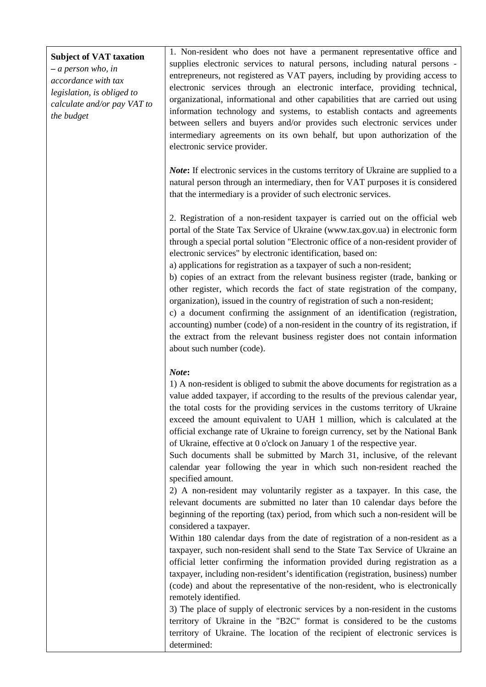## **Subject of VAT taxation**

**–** *a person who, in accordance with tax legislation, is obliged to calculate and/or pay VAT to the budget*

1. Non-resident who does not have a permanent representative office and supplies electronic services to natural persons, including natural persons entrepreneurs, not registered as VAT payers, including by providing access to electronic services through an electronic interface, providing technical, organizational, informational and other capabilities that are carried out using information technology and systems, to establish contacts and agreements between sellers and buyers and/or provides such electronic services under intermediary agreements on its own behalf, but upon authorization of the electronic service provider.

*Note*: If electronic services in the customs territory of Ukraine are supplied to a natural person through an intermediary, then for VAT purposes it is considered that the intermediary is a provider of such electronic services.

2. Registration of a non-resident taxpayer is carried out on the official web portal of the State Tax Service of Ukraine (www.tax.gov.ua) in electronic form through a special portal solution "Electronic office of a non-resident provider of electronic services" by electronic identification, based on:

a) applications for registration as a taxpayer of such a non-resident;

b) copies of an extract from the relevant business register (trade, banking or other register, which records the fact of state registration of the company, organization), issued in the country of registration of such a non-resident;

c) a document confirming the assignment of an identification (registration, accounting) number (code) of a non-resident in the country of its registration, if the extract from the relevant business register does not contain information about such number (code).

## *Note***:**

1) A non-resident is obliged to submit the above documents for registration as a value added taxpayer, if according to the results of the previous calendar year, the total costs for the providing services in the customs territory of Ukraine exceed the amount equivalent to UAH 1 million, which is calculated at the official exchange rate of Ukraine to foreign currency, set by the National Bank of Ukraine, effective at 0 o'clock on January 1 of the respective year.

Such documents shall be submitted by March 31, inclusive, of the relevant calendar year following the year in which such non-resident reached the specified amount.

2) A non-resident may voluntarily register as a taxpayer. In this case, the relevant documents are submitted no later than 10 calendar days before the beginning of the reporting (tax) period, from which such a non-resident will be considered a taxpayer.

Within 180 calendar days from the date of registration of a non-resident as a taxpayer, such non-resident shall send to the State Tax Service of Ukraine an official letter confirming the information provided during registration as a taxpayer, including non-resident's identification (registration, business) number (code) and about the representative of the non-resident, who is electronically remotely identified.

3) The place of supply of electronic services by a non-resident in the customs territory of Ukraine in the "B2C" format is considered to be the customs territory of Ukraine. The location of the recipient of electronic services is determined: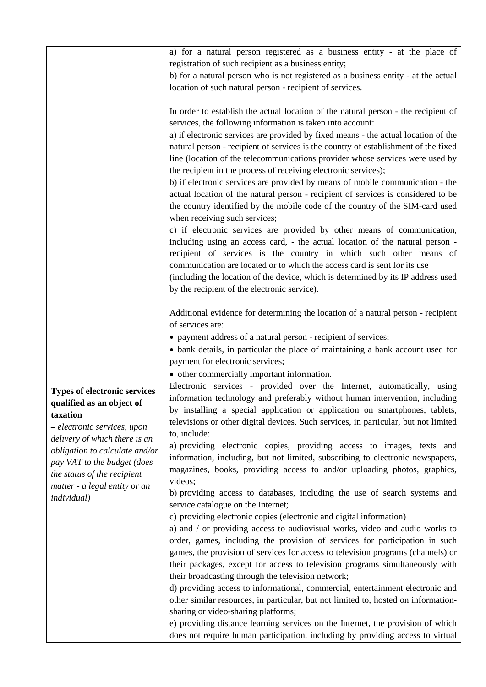|                                                                                                                                                                                                                                                                                                      | a) for a natural person registered as a business entity - at the place of<br>registration of such recipient as a business entity;<br>b) for a natural person who is not registered as a business entity - at the actual                                                                                                                     |
|------------------------------------------------------------------------------------------------------------------------------------------------------------------------------------------------------------------------------------------------------------------------------------------------------|---------------------------------------------------------------------------------------------------------------------------------------------------------------------------------------------------------------------------------------------------------------------------------------------------------------------------------------------|
|                                                                                                                                                                                                                                                                                                      | location of such natural person - recipient of services.                                                                                                                                                                                                                                                                                    |
|                                                                                                                                                                                                                                                                                                      | In order to establish the actual location of the natural person - the recipient of<br>services, the following information is taken into account:<br>a) if electronic services are provided by fixed means - the actual location of the                                                                                                      |
|                                                                                                                                                                                                                                                                                                      | natural person - recipient of services is the country of establishment of the fixed<br>line (location of the telecommunications provider whose services were used by<br>the recipient in the process of receiving electronic services);                                                                                                     |
|                                                                                                                                                                                                                                                                                                      | b) if electronic services are provided by means of mobile communication - the<br>actual location of the natural person - recipient of services is considered to be<br>the country identified by the mobile code of the country of the SIM-card used<br>when receiving such services;                                                        |
|                                                                                                                                                                                                                                                                                                      | c) if electronic services are provided by other means of communication,<br>including using an access card, - the actual location of the natural person -<br>recipient of services is the country in which such other means of                                                                                                               |
|                                                                                                                                                                                                                                                                                                      | communication are located or to which the access card is sent for its use<br>(including the location of the device, which is determined by its IP address used<br>by the recipient of the electronic service).                                                                                                                              |
|                                                                                                                                                                                                                                                                                                      | Additional evidence for determining the location of a natural person - recipient<br>of services are:                                                                                                                                                                                                                                        |
|                                                                                                                                                                                                                                                                                                      | • payment address of a natural person - recipient of services;                                                                                                                                                                                                                                                                              |
|                                                                                                                                                                                                                                                                                                      | • bank details, in particular the place of maintaining a bank account used for                                                                                                                                                                                                                                                              |
|                                                                                                                                                                                                                                                                                                      | payment for electronic services;                                                                                                                                                                                                                                                                                                            |
|                                                                                                                                                                                                                                                                                                      | • other commercially important information.                                                                                                                                                                                                                                                                                                 |
| <b>Types of electronic services</b><br>qualified as an object of<br>taxation<br>- electronic services, upon<br>delivery of which there is an<br>obligation to calculate and/or<br>pay VAT to the budget (does<br>the status of the recipient<br>matter - a legal entity or an<br><i>individual</i> ) | Electronic services - provided over the Internet, automatically, using<br>information technology and preferably without human intervention, including<br>by installing a special application or application on smartphones, tablets,<br>televisions or other digital devices. Such services, in particular, but not limited<br>to, include: |
|                                                                                                                                                                                                                                                                                                      | a) providing electronic copies, providing access to images, texts and<br>information, including, but not limited, subscribing to electronic newspapers,<br>magazines, books, providing access to and/or uploading photos, graphics,<br>videos;                                                                                              |
|                                                                                                                                                                                                                                                                                                      | b) providing access to databases, including the use of search systems and<br>service catalogue on the Internet;                                                                                                                                                                                                                             |
|                                                                                                                                                                                                                                                                                                      | c) providing electronic copies (electronic and digital information)                                                                                                                                                                                                                                                                         |
|                                                                                                                                                                                                                                                                                                      | a) and / or providing access to audiovisual works, video and audio works to<br>order, games, including the provision of services for participation in such                                                                                                                                                                                  |
|                                                                                                                                                                                                                                                                                                      | games, the provision of services for access to television programs (channels) or                                                                                                                                                                                                                                                            |
|                                                                                                                                                                                                                                                                                                      | their packages, except for access to television programs simultaneously with                                                                                                                                                                                                                                                                |
|                                                                                                                                                                                                                                                                                                      | their broadcasting through the television network;                                                                                                                                                                                                                                                                                          |
|                                                                                                                                                                                                                                                                                                      | d) providing access to informational, commercial, entertainment electronic and                                                                                                                                                                                                                                                              |
|                                                                                                                                                                                                                                                                                                      | other similar resources, in particular, but not limited to, hosted on information-                                                                                                                                                                                                                                                          |
|                                                                                                                                                                                                                                                                                                      | sharing or video-sharing platforms;                                                                                                                                                                                                                                                                                                         |
|                                                                                                                                                                                                                                                                                                      | e) providing distance learning services on the Internet, the provision of which                                                                                                                                                                                                                                                             |
|                                                                                                                                                                                                                                                                                                      | does not require human participation, including by providing access to virtual                                                                                                                                                                                                                                                              |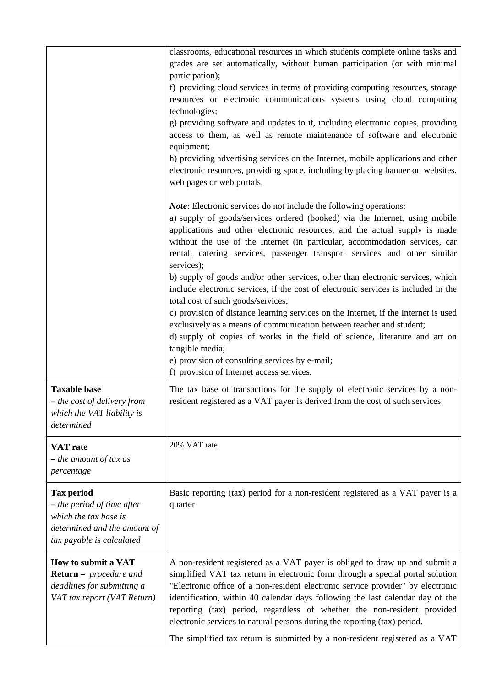|                                                                                                                                         | classrooms, educational resources in which students complete online tasks and<br>grades are set automatically, without human participation (or with minimal<br>participation);<br>f) providing cloud services in terms of providing computing resources, storage<br>resources or electronic communications systems using cloud computing<br>technologies;<br>g) providing software and updates to it, including electronic copies, providing<br>access to them, as well as remote maintenance of software and electronic<br>equipment;<br>h) providing advertising services on the Internet, mobile applications and other<br>electronic resources, providing space, including by placing banner on websites,<br>web pages or web portals.                                                                                                                                                                                                                                                      |
|-----------------------------------------------------------------------------------------------------------------------------------------|-------------------------------------------------------------------------------------------------------------------------------------------------------------------------------------------------------------------------------------------------------------------------------------------------------------------------------------------------------------------------------------------------------------------------------------------------------------------------------------------------------------------------------------------------------------------------------------------------------------------------------------------------------------------------------------------------------------------------------------------------------------------------------------------------------------------------------------------------------------------------------------------------------------------------------------------------------------------------------------------------|
|                                                                                                                                         | <i>Note:</i> Electronic services do not include the following operations:<br>a) supply of goods/services ordered (booked) via the Internet, using mobile<br>applications and other electronic resources, and the actual supply is made<br>without the use of the Internet (in particular, accommodation services, car<br>rental, catering services, passenger transport services and other similar<br>services);<br>b) supply of goods and/or other services, other than electronic services, which<br>include electronic services, if the cost of electronic services is included in the<br>total cost of such goods/services;<br>c) provision of distance learning services on the Internet, if the Internet is used<br>exclusively as a means of communication between teacher and student;<br>d) supply of copies of works in the field of science, literature and art on<br>tangible media;<br>e) provision of consulting services by e-mail;<br>f) provision of Internet access services. |
| <b>Taxable base</b><br>- the cost of delivery from<br>which the VAT liability is<br>determined                                          | The tax base of transactions for the supply of electronic services by a non-<br>resident registered as a VAT payer is derived from the cost of such services.                                                                                                                                                                                                                                                                                                                                                                                                                                                                                                                                                                                                                                                                                                                                                                                                                                   |
| <b>VAT</b> rate<br>$-$ the amount of tax as<br>percentage                                                                               | 20% VAT rate                                                                                                                                                                                                                                                                                                                                                                                                                                                                                                                                                                                                                                                                                                                                                                                                                                                                                                                                                                                    |
| <b>Tax period</b><br>$-$ the period of time after<br>which the tax base is<br>determined and the amount of<br>tax payable is calculated | Basic reporting (tax) period for a non-resident registered as a VAT payer is a<br>quarter                                                                                                                                                                                                                                                                                                                                                                                                                                                                                                                                                                                                                                                                                                                                                                                                                                                                                                       |
| How to submit a VAT<br><b>Return</b> – <i>procedure and</i><br>deadlines for submitting a<br>VAT tax report (VAT Return)                | A non-resident registered as a VAT payer is obliged to draw up and submit a<br>simplified VAT tax return in electronic form through a special portal solution<br>"Electronic office of a non-resident electronic service provider" by electronic<br>identification, within 40 calendar days following the last calendar day of the<br>reporting (tax) period, regardless of whether the non-resident provided<br>electronic services to natural persons during the reporting (tax) period.<br>The simplified tax return is submitted by a non-resident registered as a VAT                                                                                                                                                                                                                                                                                                                                                                                                                      |